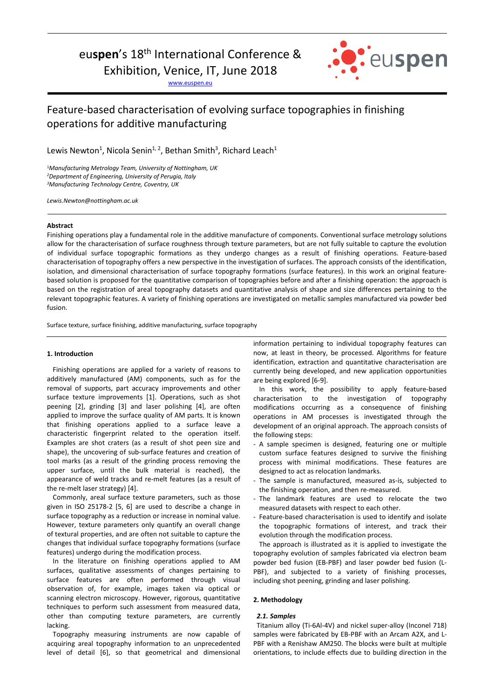# euspen's 18<sup>th</sup> International Conference &

Exhibition, Venice, IT, June 2018

www.euspen.eu



## Feature-based characterisation of evolving surface topographies in finishing operations for additive manufacturing

Lewis Newton<sup>1</sup>, Nicola Senin<sup>1, 2</sup>, Bethan Smith<sup>3</sup>, Richard Leach<sup>1</sup>

<sup>1</sup>*Manufacturing Metrology Team, University of Nottingham, UK <sup>2</sup>Department of Engineering, University of Perugia, Italy <sup>3</sup>Manufacturing Technology Centre, Coventry, UK* 

*Lewis.Newton@nottingham.ac.uk*

## **Abstract**

Finishing operations play a fundamental role in the additive manufacture of components. Conventional surface metrology solutions allow for the characterisation of surface roughness through texture parameters, but are not fully suitable to capture the evolution of individual surface topographic formations as they undergo changes as a result of finishing operations. Feature-based characterisation of topography offers a new perspective in the investigation of surfaces. The approach consists of the identification, isolation, and dimensional characterisation of surface topography formations (surface features). In this work an original featurebased solution is proposed for the quantitative comparison of topographies before and after a finishing operation: the approach is based on the registration of areal topography datasets and quantitative analysis of shape and size differences pertaining to the relevant topographic features. A variety of finishing operations are investigated on metallic samples manufactured via powder bed fusion.

Surface texture, surface finishing, additive manufacturing, surface topography

## **1. Introduction**

Finishing operations are applied for a variety of reasons to additively manufactured (AM) components, such as for the removal of supports, part accuracy improvements and other surface texture improvements [1]. Operations, such as shot peening [2], grinding [3] and laser polishing [4], are often applied to improve the surface quality of AM parts. It is known that finishing operations applied to a surface leave a characteristic fingerprint related to the operation itself. Examples are shot craters (as a result of shot peen size and shape), the uncovering of sub-surface features and creation of tool marks (as a result of the grinding process removing the upper surface, until the bulk material is reached), the appearance of weld tracks and re-melt features (as a result of the re-melt laser strategy) [4].

Commonly, areal surface texture parameters, such as those given in ISO 25178-2 [5, 6] are used to describe a change in surface topography as a reduction or increase in nominal value. However, texture parameters only quantify an overall change of textural properties, and are often not suitable to capture the changes that individual surface topography formations (surface features) undergo during the modification process.

In the literature on finishing operations applied to AM surfaces, qualitative assessments of changes pertaining to surface features are often performed through visual observation of, for example, images taken via optical or scanning electron microscopy. However, rigorous, quantitative techniques to perform such assessment from measured data, other than computing texture parameters, are currently lacking.

Topography measuring instruments are now capable of acquiring areal topography information to an unprecedented level of detail [6], so that geometrical and dimensional information pertaining to individual topography features can now, at least in theory, be processed. Algorithms for feature identification, extraction and quantitative characterisation are currently being developed, and new application opportunities are being explored [6-9].

In this work, the possibility to apply feature-based characterisation to the investigation of topography modifications occurring as a consequence of finishing operations in AM processes is investigated through the development of an original approach. The approach consists of the following steps:

- A sample specimen is designed, featuring one or multiple custom surface features designed to survive the finishing process with minimal modifications. These features are designed to act as relocation landmarks.
- The sample is manufactured, measured as-is, subjected to the finishing operation, and then re-measured.
- The landmark features are used to relocate the two measured datasets with respect to each other.
- Feature-based characterisation is used to identify and isolate the topographic formations of interest, and track their evolution through the modification process.

The approach is illustrated as it is applied to investigate the topography evolution of samples fabricated via electron beam powder bed fusion (EB-PBF) and laser powder bed fusion (L-PBF), and subjected to a variety of finishing processes, including shot peening, grinding and laser polishing.

#### **2. Methodology**

#### *2.1. Samples*

 Titanium alloy (Ti-6Al-4V) and nickel super-alloy (Inconel 718) samples were fabricated by EB-PBF with an Arcam A2X, and L-PBF with a Renishaw AM250. The blocks were built at multiple orientations, to include effects due to building direction in the